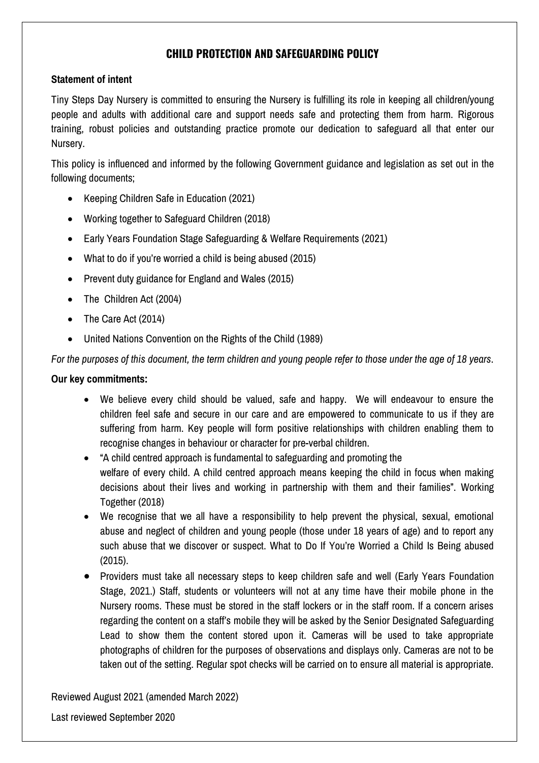# **CHILD PROTECTION AND SAFEGUARDING POLICY**

#### **Statement of intent**

Tiny Steps Day Nursery is committed to ensuring the Nursery is fulfilling its role in keeping all children/young people and adults with additional care and support needs safe and protecting them from harm. Rigorous training, robust policies and outstanding practice promote our dedication to safeguard all that enter our Nursery.

This policy is influenced and informed by the following Government guidance and legislation as set out in the following documents;

- Keeping Children Safe in Education (2021)
- Working together to Safeguard Children (2018)
- Early Years Foundation Stage Safeguarding & Welfare Requirements (2021)
- What to do if you're worried a child is being abused (2015)
- Prevent duty guidance for England and Wales (2015)
- The Children Act (2004)
- The Care Act (2014)
- United Nations Convention on the Rights of the Child (1989)

*For the purposes of this document, the term children and young people refer to those under the age of 18 years*.

#### **Our key commitments:**

- We believe every child should be valued, safe and happy. We will endeavour to ensure the children feel safe and secure in our care and are empowered to communicate to us if they are suffering from harm. Key people will form positive relationships with children enabling them to recognise changes in behaviour or character for pre-verbal children.
- "A child centred approach is fundamental to safeguarding and promoting the welfare of every child. A child centred approach means keeping the child in focus when making decisions about their lives and working in partnership with them and their families". Working Together (2018)
- We recognise that we all have a responsibility to help prevent the physical, sexual, emotional abuse and neglect of children and young people (those under 18 years of age) and to report any such abuse that we discover or suspect. What to Do If You're Worried a Child Is Being abused (2015).
- Providers must take all necessary steps to keep children safe and well (Early Years Foundation Stage, 2021.) Staff, students or volunteers will not at any time have their mobile phone in the Nursery rooms. These must be stored in the staff lockers or in the staff room. If a concern arises regarding the content on a staff's mobile they will be asked by the Senior Designated Safeguarding Lead to show them the content stored upon it. Cameras will be used to take appropriate photographs of children for the purposes of observations and displays only. Cameras are not to be taken out of the setting. Regular spot checks will be carried on to ensure all material is appropriate.

Reviewed August 2021 (amended March 2022)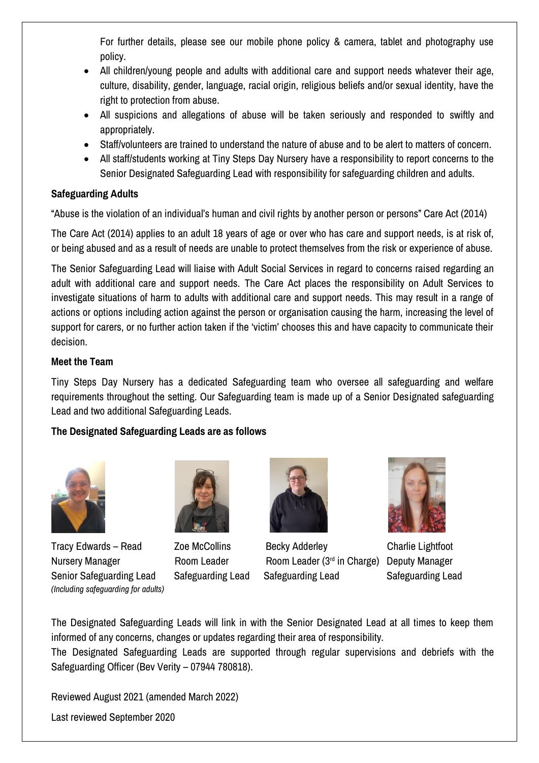For further details, please see our mobile phone policy & camera, tablet and photography use policy.

- All children/young people and adults with additional care and support needs whatever their age, culture, disability, gender, language, racial origin, religious beliefs and/or sexual identity, have the right to protection from abuse.
- All suspicions and allegations of abuse will be taken seriously and responded to swiftly and appropriately.
- Staff/volunteers are trained to understand the nature of abuse and to be alert to matters of concern.
- All staff/students working at Tiny Steps Day Nursery have a responsibility to report concerns to the Senior Designated Safeguarding Lead with responsibility for safeguarding children and adults.

#### **Safeguarding Adults**

"Abuse is the violation of an individual's human and civil rights by another person or persons" Care Act (2014)

The Care Act (2014) applies to an adult 18 years of age or over who has care and support needs, is at risk of, or being abused and as a result of needs are unable to protect themselves from the risk or experience of abuse.

The Senior Safeguarding Lead will liaise with Adult Social Services in regard to concerns raised regarding an adult with additional care and support needs. The Care Act places the responsibility on Adult Services to investigate situations of harm to adults with additional care and support needs. This may result in a range of actions or options including action against the person or organisation causing the harm, increasing the level of support for carers, or no further action taken if the 'victim' chooses this and have capacity to communicate their decision.

#### **Meet the Team**

Tiny Steps Day Nursery has a dedicated Safeguarding team who oversee all safeguarding and welfare requirements throughout the setting. Our Safeguarding team is made up of a Senior Designated safeguarding Lead and two additional Safeguarding Leads.

## **The Designated Safeguarding Leads are as follows**



Tracy Edwards – Read Zoe McCollins Becky Adderley Charlie Lightfoot Nursery Manager **Room Leader** Room Leader Room Leader (3<sup>rd</sup> in Charge) Deputy Manager Senior Safeguarding Lead Safeguarding Lead Safeguarding Lead Safeguarding Lead *(Including safeguarding for adults)*







The Designated Safeguarding Leads will link in with the Senior Designated Lead at all times to keep them informed of any concerns, changes or updates regarding their area of responsibility.

The Designated Safeguarding Leads are supported through regular supervisions and debriefs with the Safeguarding Officer (Bev Verity – 07944 780818).

Reviewed August 2021 (amended March 2022)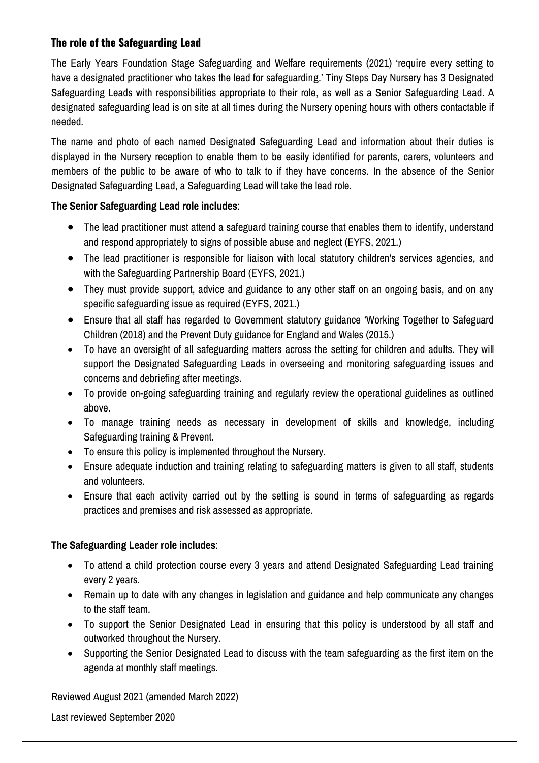## **The role of the Safeguarding Lead**

The Early Years Foundation Stage Safeguarding and Welfare requirements (2021) 'require every setting to have a designated practitioner who takes the lead for safeguarding.' Tiny Steps Day Nursery has 3 Designated Safeguarding Leads with responsibilities appropriate to their role, as well as a Senior Safeguarding Lead. A designated safeguarding lead is on site at all times during the Nursery opening hours with others contactable if needed.

The name and photo of each named Designated Safeguarding Lead and information about their duties is displayed in the Nursery reception to enable them to be easily identified for parents, carers, volunteers and members of the public to be aware of who to talk to if they have concerns. In the absence of the Senior Designated Safeguarding Lead, a Safeguarding Lead will take the lead role.

#### **The Senior Safeguarding Lead role includes**:

- The lead practitioner must attend a safeguard training course that enables them to identify, understand and respond appropriately to signs of possible abuse and neglect (EYFS, 2021.)
- The lead practitioner is responsible for liaison with local statutory children's services agencies, and with the Safeguarding Partnership Board (EYFS, 2021.)
- They must provide support, advice and guidance to any other staff on an ongoing basis, and on any specific safeguarding issue as required (EYFS, 2021.)
- Ensure that all staff has regarded to Government statutory guidance 'Working Together to Safeguard Children (2018) and the Prevent Duty guidance for England and Wales (2015.)
- To have an oversight of all safeguarding matters across the setting for children and adults. They will support the Designated Safeguarding Leads in overseeing and monitoring safeguarding issues and concerns and debriefing after meetings.
- To provide on-going safeguarding training and regularly review the operational guidelines as outlined above.
- To manage training needs as necessary in development of skills and knowledge, including Safeguarding training & Prevent.
- To ensure this policy is implemented throughout the Nursery.
- Ensure adequate induction and training relating to safeguarding matters is given to all staff, students and volunteers.
- Ensure that each activity carried out by the setting is sound in terms of safeguarding as regards practices and premises and risk assessed as appropriate.

## **The Safeguarding Leader role includes**:

- To attend a child protection course every 3 years and attend Designated Safeguarding Lead training every 2 years.
- Remain up to date with any changes in legislation and guidance and help communicate any changes to the staff team.
- To support the Senior Designated Lead in ensuring that this policy is understood by all staff and outworked throughout the Nursery.
- Supporting the Senior Designated Lead to discuss with the team safeguarding as the first item on the agenda at monthly staff meetings.

Reviewed August 2021 (amended March 2022)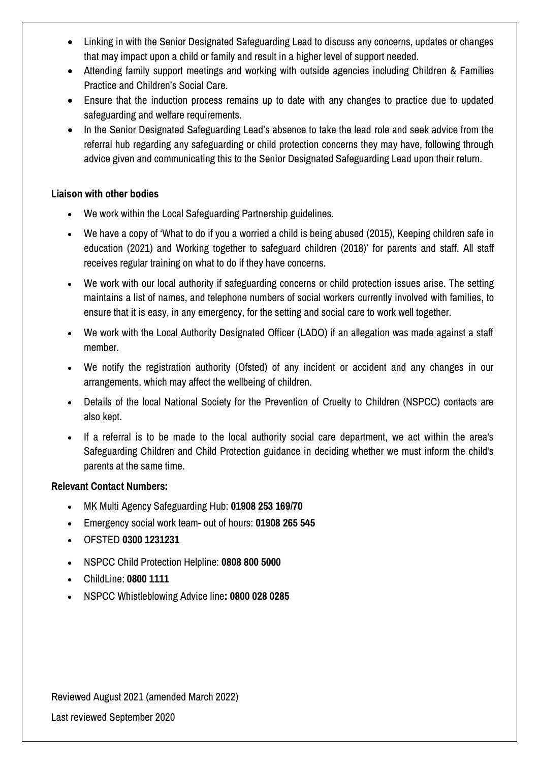- Linking in with the Senior Designated Safeguarding Lead to discuss any concerns, updates or changes that may impact upon a child or family and result in a higher level of support needed.
- Attending family support meetings and working with outside agencies including Children & Families Practice and Children's Social Care.
- Ensure that the induction process remains up to date with any changes to practice due to updated safeguarding and welfare requirements.
- In the Senior Designated Safeguarding Lead's absence to take the lead role and seek advice from the referral hub regarding any safeguarding or child protection concerns they may have, following through advice given and communicating this to the Senior Designated Safeguarding Lead upon their return.

#### **Liaison with other bodies**

- We work within the Local Safeguarding Partnership guidelines.
- We have a copy of 'What to do if you a worried a child is being abused (2015), Keeping children safe in education (2021) and Working together to safeguard children (2018)' for parents and staff. All staff receives regular training on what to do if they have concerns.
- We work with our local authority if safeguarding concerns or child protection issues arise. The setting maintains a list of names, and telephone numbers of social workers currently involved with families, to ensure that it is easy, in any emergency, for the setting and social care to work well together.
- We work with the Local Authority Designated Officer (LADO) if an allegation was made against a staff member.
- We notify the registration authority (Ofsted) of any incident or accident and any changes in our arrangements, which may affect the wellbeing of children.
- Details of the local National Society for the Prevention of Cruelty to Children (NSPCC) contacts are also kept.
- If a referral is to be made to the local authority social care department, we act within the area's Safeguarding Children and Child Protection guidance in deciding whether we must inform the child's parents at the same time.

#### **Relevant Contact Numbers:**

- MK Multi Agency Safeguarding Hub: **01908 253 169/70**
- Emergency social work team- out of hours: **01908 265 545**
- OFSTED **0300 1231231**
- NSPCC Child Protection Helpline: **0808 800 5000**
- ChildLine: **0800 1111**
- NSPCC Whistleblowing Advice line**: 0800 028 0285**

Reviewed August 2021 (amended March 2022)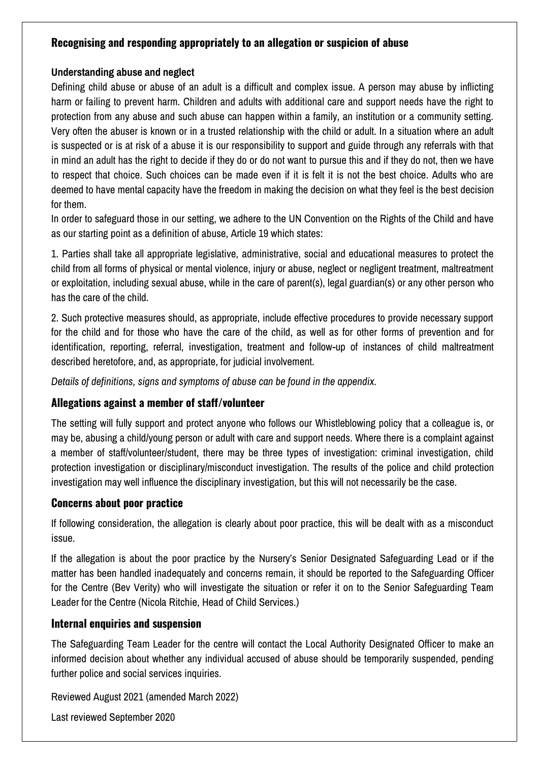## **Recognising and responding appropriately to an allegation or suspicion of abuse**

#### **Understanding abuse and neglect**

Defining child abuse or abuse of an adult is a difficult and complex issue. A person may abuse by inflicting harm or failing to prevent harm. Children and adults with additional care and support needs have the right to protection from any abuse and such abuse can happen within a family, an institution or a community setting. Very often the abuser is known or in a trusted relationship with the child or adult. In a situation where an adult is suspected or is at risk of a abuse it is our responsibility to support and guide through any referrals with that in mind an adult has the right to decide if they do or do not want to pursue this and if they do not, then we have to respect that choice. Such choices can be made even if it is felt it is not the best choice. Adults who are deemed to have mental capacity have the freedom in making the decision on what they feel is the best decision for them.

In order to safeguard those in our setting, we adhere to the UN Convention on the Rights of the Child and have as our starting point as a definition of abuse, Article 19 which states:

1. Parties shall take all appropriate legislative, administrative, social and educational measures to protect the child from all forms of physical or mental violence, injury or abuse, neglect or negligent treatment, maltreatment or exploitation, including sexual abuse, while in the care of parent(s), legal guardian(s) or any other person who has the care of the child.

2. Such protective measures should, as appropriate, include effective procedures to provide necessary support for the child and for those who have the care of the child, as well as for other forms of prevention and for identification, reporting, referral, investigation, treatment and follow-up of instances of child maltreatment described heretofore, and, as appropriate, for judicial involvement.

*Details of definitions, signs and symptoms of abuse can be found in the appendix.*

## **Allegations against a member of staff/volunteer**

The setting will fully support and protect anyone who follows our Whistleblowing policy that a colleague is, or may be, abusing a child/young person or adult with care and support needs. Where there is a complaint against a member of staff/volunteer/student, there may be three types of investigation: criminal investigation, child protection investigation or disciplinary/misconduct investigation. The results of the police and child protection investigation may well influence the disciplinary investigation, but this will not necessarily be the case.

## **Concerns about poor practice**

If following consideration, the allegation is clearly about poor practice, this will be dealt with as a misconduct issue.

If the allegation is about the poor practice by the Nursery's Senior Designated Safeguarding Lead or if the matter has been handled inadequately and concerns remain, it should be reported to the Safeguarding Officer for the Centre (Bev Verity) who will investigate the situation or refer it on to the Senior Safeguarding Team Leader for the Centre (Nicola Ritchie, Head of Child Services.)

## **Internal enquiries and suspension**

The Safeguarding Team Leader for the centre will contact the Local Authority Designated Officer to make an informed decision about whether any individual accused of abuse should be temporarily suspended, pending further police and social services inquiries.

Reviewed August 2021 (amended March 2022)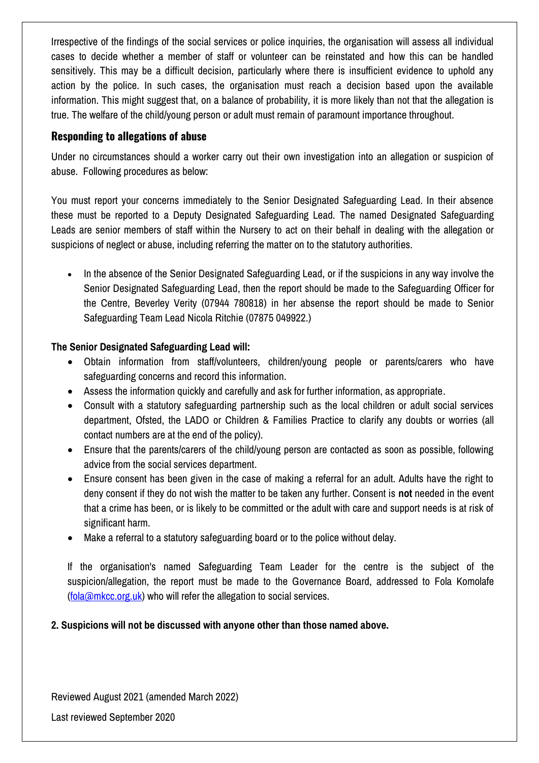Irrespective of the findings of the social services or police inquiries, the organisation will assess all individual cases to decide whether a member of staff or volunteer can be reinstated and how this can be handled sensitively. This may be a difficult decision, particularly where there is insufficient evidence to uphold any action by the police. In such cases, the organisation must reach a decision based upon the available information. This might suggest that, on a balance of probability, it is more likely than not that the allegation is true. The welfare of the child/young person or adult must remain of paramount importance throughout.

## **Responding to allegations of abuse**

Under no circumstances should a worker carry out their own investigation into an allegation or suspicion of abuse. Following procedures as below:

You must report your concerns immediately to the Senior Designated Safeguarding Lead. In their absence these must be reported to a Deputy Designated Safeguarding Lead. The named Designated Safeguarding Leads are senior members of staff within the Nursery to act on their behalf in dealing with the allegation or suspicions of neglect or abuse, including referring the matter on to the statutory authorities.

• In the absence of the Senior Designated Safeguarding Lead, or if the suspicions in any way involve the Senior Designated Safeguarding Lead, then the report should be made to the Safeguarding Officer for the Centre, Beverley Verity (07944 780818) in her absense the report should be made to Senior Safeguarding Team Lead Nicola Ritchie (07875 049922.)

## **The Senior Designated Safeguarding Lead will:**

- Obtain information from staff/volunteers, children/young people or parents/carers who have safeguarding concerns and record this information.
- Assess the information quickly and carefully and ask for further information, as appropriate.
- Consult with a statutory safeguarding partnership such as the local children or adult social services department, Ofsted, the LADO or Children & Families Practice to clarify any doubts or worries (all contact numbers are at the end of the policy).
- Ensure that the parents/carers of the child/young person are contacted as soon as possible, following advice from the social services department.
- Ensure consent has been given in the case of making a referral for an adult. Adults have the right to deny consent if they do not wish the matter to be taken any further. Consent is **not** needed in the event that a crime has been, or is likely to be committed or the adult with care and support needs is at risk of significant harm.
- Make a referral to a statutory safeguarding board or to the police without delay.

If the organisation's named Safeguarding Team Leader for the centre is the subject of the suspicion/allegation, the report must be made to the Governance Board, addressed to Fola Komolafe [\(fola@mkcc.org.uk\)](mailto:fola@mkcc.org.uk) who will refer the allegation to social services.

## **2. Suspicions will not be discussed with anyone other than those named above.**

Reviewed August 2021 (amended March 2022)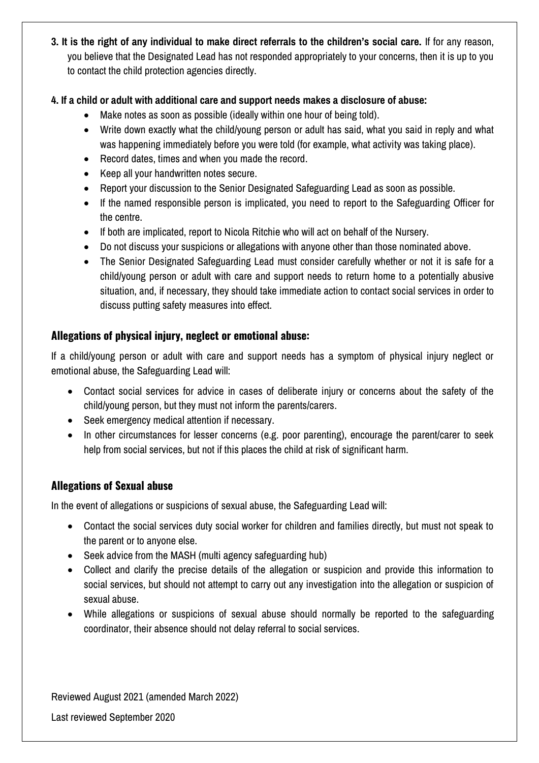**3. It is the right of any individual to make direct referrals to the children's social care.** If for any reason, you believe that the Designated Lead has not responded appropriately to your concerns, then it is up to you to contact the child protection agencies directly.

## **4. If a child or adult with additional care and support needs makes a disclosure of abuse:**

- Make notes as soon as possible (ideally within one hour of being told).
- Write down exactly what the child/young person or adult has said, what you said in reply and what was happening immediately before you were told (for example, what activity was taking place).
- Record dates, times and when you made the record.
- Keep all your handwritten notes secure.
- Report your discussion to the Senior Designated Safeguarding Lead as soon as possible.
- If the named responsible person is implicated, you need to report to the Safeguarding Officer for the centre.
- If both are implicated, report to Nicola Ritchie who will act on behalf of the Nursery.
- Do not discuss your suspicions or allegations with anyone other than those nominated above.
- The Senior Designated Safeguarding Lead must consider carefully whether or not it is safe for a child/young person or adult with care and support needs to return home to a potentially abusive situation, and, if necessary, they should take immediate action to contact social services in order to discuss putting safety measures into effect.

# **Allegations of physical injury, neglect or emotional abuse:**

If a child/young person or adult with care and support needs has a symptom of physical injury neglect or emotional abuse, the Safeguarding Lead will:

- Contact social services for advice in cases of deliberate injury or concerns about the safety of the child/young person, but they must not inform the parents/carers.
- Seek emergency medical attention if necessary.
- In other circumstances for lesser concerns (e.g. poor parenting), encourage the parent/carer to seek help from social services, but not if this places the child at risk of significant harm.

# **Allegations of Sexual abuse**

In the event of allegations or suspicions of sexual abuse, the Safeguarding Lead will:

- Contact the social services duty social worker for children and families directly, but must not speak to the parent or to anyone else.
- Seek advice from the MASH (multi agency safeguarding hub)
- Collect and clarify the precise details of the allegation or suspicion and provide this information to social services, but should not attempt to carry out any investigation into the allegation or suspicion of sexual abuse.
- While allegations or suspicions of sexual abuse should normally be reported to the safeguarding coordinator, their absence should not delay referral to social services.

Reviewed August 2021 (amended March 2022)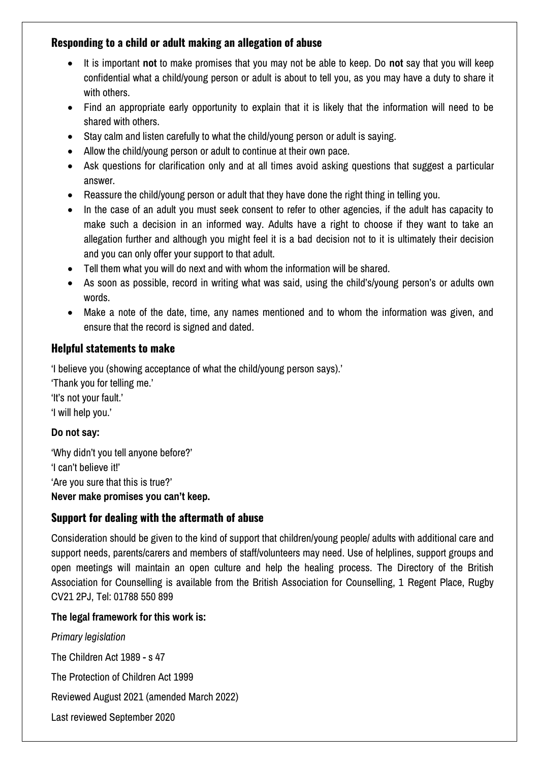# **Responding to a child or adult making an allegation of abuse**

- It is important **not** to make promises that you may not be able to keep. Do **not** say that you will keep confidential what a child/young person or adult is about to tell you, as you may have a duty to share it with others.
- Find an appropriate early opportunity to explain that it is likely that the information will need to be shared with others.
- Stay calm and listen carefully to what the child/young person or adult is saying.
- Allow the child/young person or adult to continue at their own pace.
- Ask questions for clarification only and at all times avoid asking questions that suggest a particular answer.
- Reassure the child/young person or adult that they have done the right thing in telling you.
- In the case of an adult you must seek consent to refer to other agencies, if the adult has capacity to make such a decision in an informed way. Adults have a right to choose if they want to take an allegation further and although you might feel it is a bad decision not to it is ultimately their decision and you can only offer your support to that adult.
- Tell them what you will do next and with whom the information will be shared.
- As soon as possible, record in writing what was said, using the child's/young person's or adults own words.
- Make a note of the date, time, any names mentioned and to whom the information was given, and ensure that the record is signed and dated.

# **Helpful statements to make**

'I believe you (showing acceptance of what the child/young person says).'

'Thank you for telling me.' 'It's not your fault.' 'I will help you.'

## **Do not say:**

'Why didn't you tell anyone before?' 'I can't believe it!' 'Are you sure that this is true?' **Never make promises you can't keep.**

# **Support for dealing with the aftermath of abuse**

Consideration should be given to the kind of support that children/young people/ adults with additional care and support needs, parents/carers and members of staff/volunteers may need. Use of helplines, support groups and open meetings will maintain an open culture and help the healing process. The Directory of the British Association for Counselling is available from the British Association for Counselling, 1 Regent Place, Rugby CV21 2PJ, Tel: 01788 550 899

## **The legal framework for this work is:**

Reviewed August 2021 (amended March 2022) Last reviewed September 2020 *Primary legislation* The Children Act 1989 - s 47 The Protection of Children Act 1999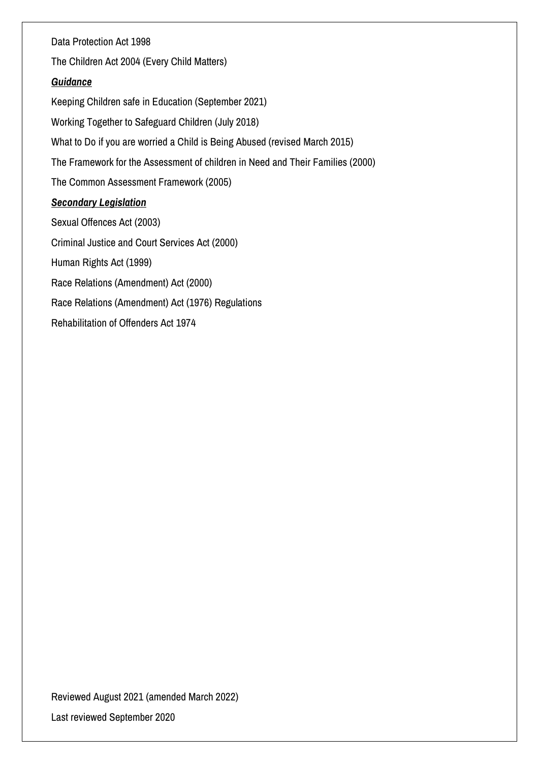Data Protection Act 1998 The Children Act 2004 (Every Child Matters) *Guidance* Keeping Children safe in Education (September 2021) Working Together to Safeguard Children (July 2018) What to Do if you are worried a Child is Being Abused (revised March 2015) The Framework for the Assessment of children in Need and Their Families (2000) The Common Assessment Framework (2005) *Secondary Legislation* Sexual Offences Act (2003) Criminal Justice and Court Services Act (2000) Human Rights Act (1999) Race Relations (Amendment) Act (2000) Race Relations (Amendment) Act (1976) Regulations

Rehabilitation of Offenders Act 1974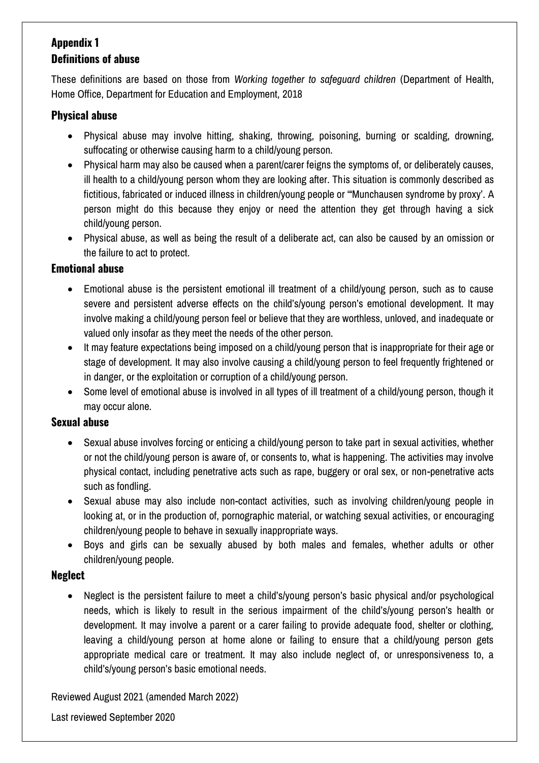# **Appendix 1 Definitions of abuse**

These definitions are based on those from *Working together to safeguard children* (Department of Health, Home Office, Department for Education and Employment, 2018

## **Physical abuse**

- Physical abuse may involve hitting, shaking, throwing, poisoning, burning or scalding, drowning, suffocating or otherwise causing harm to a child/young person.
- Physical harm may also be caused when a parent/carer feigns the symptoms of, or deliberately causes, ill health to a child/young person whom they are looking after. This situation is commonly described as fictitious, fabricated or induced illness in children/young people or '"Munchausen syndrome by proxy'. A person might do this because they enjoy or need the attention they get through having a sick child/young person.
- Physical abuse, as well as being the result of a deliberate act, can also be caused by an omission or the failure to act to protect.

## **Emotional abuse**

- Emotional abuse is the persistent emotional ill treatment of a child/young person, such as to cause severe and persistent adverse effects on the child's/young person's emotional development. It may involve making a child/young person feel or believe that they are worthless, unloved, and inadequate or valued only insofar as they meet the needs of the other person.
- It may feature expectations being imposed on a child/young person that is inappropriate for their age or stage of development. It may also involve causing a child/young person to feel frequently frightened or in danger, or the exploitation or corruption of a child/young person.
- Some level of emotional abuse is involved in all types of ill treatment of a child/young person, though it may occur alone.

## **Sexual abuse**

- Sexual abuse involves forcing or enticing a child/young person to take part in sexual activities, whether or not the child/young person is aware of, or consents to, what is happening. The activities may involve physical contact, including penetrative acts such as rape, buggery or oral sex, or non-penetrative acts such as fondling.
- Sexual abuse may also include non-contact activities, such as involving children/young people in looking at, or in the production of, pornographic material, or watching sexual activities, or encouraging children/young people to behave in sexually inappropriate ways.
- Boys and girls can be sexually abused by both males and females, whether adults or other children/young people.

# **Neglect**

 Neglect is the persistent failure to meet a child's/young person's basic physical and/or psychological needs, which is likely to result in the serious impairment of the child's/young person's health or development. It may involve a parent or a carer failing to provide adequate food, shelter or clothing, leaving a child/young person at home alone or failing to ensure that a child/young person gets appropriate medical care or treatment. It may also include neglect of, or unresponsiveness to, a child's/young person's basic emotional needs.

Reviewed August 2021 (amended March 2022)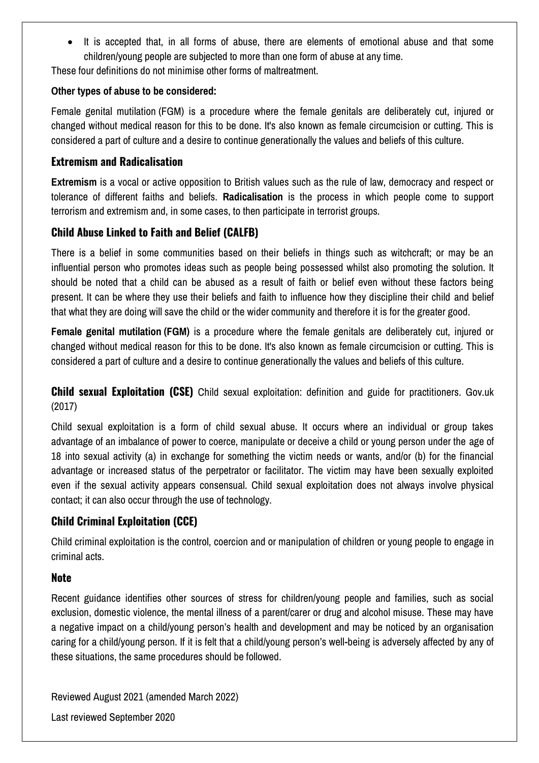• It is accepted that, in all forms of abuse, there are elements of emotional abuse and that some children/young people are subjected to more than one form of abuse at any time.

These four definitions do not minimise other forms of maltreatment.

#### **Other types of abuse to be considered:**

Female genital mutilation (FGM) is a procedure where the female genitals are deliberately cut, injured or changed without medical reason for this to be done. It's also known as female circumcision or cutting. This is considered a part of culture and a desire to continue generationally the values and beliefs of this culture.

#### **Extremism and Radicalisation**

**Extremism** is a vocal or active opposition to British values such as the rule of law, democracy and respect or tolerance of different faiths and beliefs. **Radicalisation** is the process in which people come to support terrorism and extremism and, in some cases, to then participate in terrorist groups.

## **Child Abuse Linked to Faith and Belief (CALFB)**

There is a belief in some communities based on their beliefs in things such as witchcraft; or may be an influential person who promotes ideas such as people being possessed whilst also promoting the solution. It should be noted that a child can be abused as a result of faith or belief even without these factors being present. It can be where they use their beliefs and faith to influence how they discipline their child and belief that what they are doing will save the child or the wider community and therefore it is for the greater good.

**Female genital mutilation (FGM)** is a procedure where the female genitals are deliberately cut, injured or changed without medical reason for this to be done. It's also known as female circumcision or cutting. This is considered a part of culture and a desire to continue generationally the values and beliefs of this culture.

**Child sexual Exploitation (CSE)** Child sexual exploitation: definition and guide for practitioners. Gov.uk (2017)

Child sexual exploitation is a form of child sexual abuse. It occurs where an individual or group takes advantage of an imbalance of power to coerce, manipulate or deceive a child or young person under the age of 18 into sexual activity (a) in exchange for something the victim needs or wants, and/or (b) for the financial advantage or increased status of the perpetrator or facilitator. The victim may have been sexually exploited even if the sexual activity appears consensual. Child sexual exploitation does not always involve physical contact; it can also occur through the use of technology.

# **Child Criminal Exploitation (CCE)**

Child criminal exploitation is the control, coercion and or manipulation of children or young people to engage in criminal acts.

## **Note**

Recent guidance identifies other sources of stress for children/young people and families, such as social exclusion, domestic violence, the mental illness of a parent/carer or drug and alcohol misuse. These may have a negative impact on a child/young person's health and development and may be noticed by an organisation caring for a child/young person. If it is felt that a child/young person's well-being is adversely affected by any of these situations, the same procedures should be followed.

Reviewed August 2021 (amended March 2022)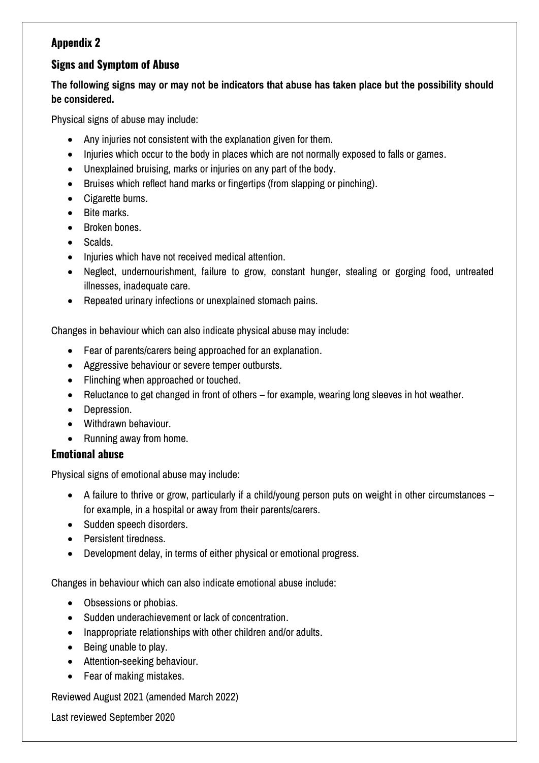# **Appendix 2**

## **Signs and Symptom of Abuse**

## **The following signs may or may not be indicators that abuse has taken place but the possibility should be considered.**

Physical signs of abuse may include:

- Any injuries not consistent with the explanation given for them.
- $\bullet$  Injuries which occur to the body in places which are not normally exposed to falls or games.
- Unexplained bruising, marks or injuries on any part of the body.
- Bruises which reflect hand marks or fingertips (from slapping or pinching).
- Cigarette burns.
- Bite marks.
- **•** Broken bones
- Scalds.
- Injuries which have not received medical attention.
- Neglect, undernourishment, failure to grow, constant hunger, stealing or gorging food, untreated illnesses, inadequate care.
- Repeated urinary infections or unexplained stomach pains.

Changes in behaviour which can also indicate physical abuse may include:

- Fear of parents/carers being approached for an explanation.
- Aggressive behaviour or severe temper outbursts.
- Flinching when approached or touched.
- Reluctance to get changed in front of others for example, wearing long sleeves in hot weather.
- Depression.
- Withdrawn behaviour.
- Running away from home.

## **Emotional abuse**

Physical signs of emotional abuse may include:

- A failure to thrive or grow, particularly if a child/young person puts on weight in other circumstances for example, in a hospital or away from their parents/carers.
- Sudden speech disorders.
- Persistent tiredness.
- Development delay, in terms of either physical or emotional progress.

Changes in behaviour which can also indicate emotional abuse include:

- Obsessions or phobias.
- Sudden underachievement or lack of concentration.
- Inappropriate relationships with other children and/or adults.
- $\bullet$  Being unable to play.
- Attention-seeking behaviour.
- Fear of making mistakes.

Reviewed August 2021 (amended March 2022)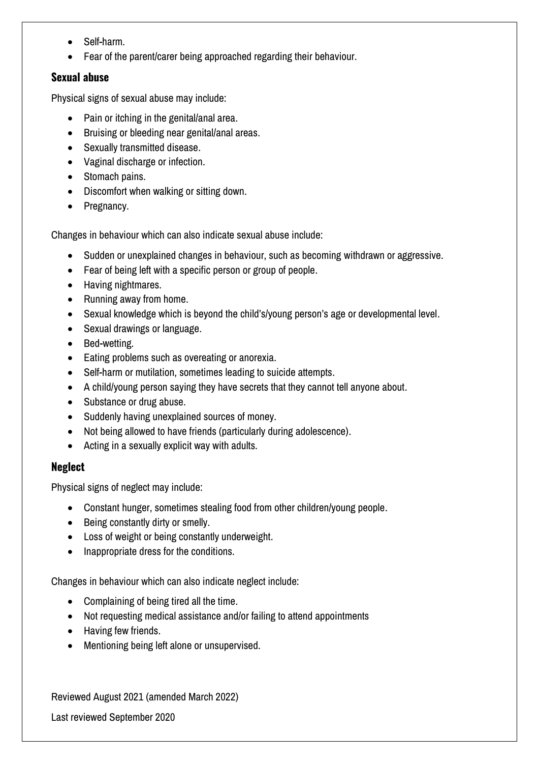- Self-harm.
- Fear of the parent/carer being approached regarding their behaviour.

## **Sexual abuse**

Physical signs of sexual abuse may include:

- Pain or itching in the genital/anal area.
- Bruising or bleeding near genital/anal areas.
- Sexually transmitted disease.
- Vaginal discharge or infection.
- Stomach pains.
- Discomfort when walking or sitting down.
- Pregnancy.

Changes in behaviour which can also indicate sexual abuse include:

- Sudden or unexplained changes in behaviour, such as becoming withdrawn or aggressive.
- Fear of being left with a specific person or group of people.
- Having nightmares.
- Running away from home.
- Sexual knowledge which is beyond the child's/young person's age or developmental level.
- Sexual drawings or language.
- Bed-wetting.
- Eating problems such as overeating or anorexia.
- Self-harm or mutilation, sometimes leading to suicide attempts.
- A child/young person saying they have secrets that they cannot tell anyone about.
- Substance or drug abuse.
- Suddenly having unexplained sources of money.
- Not being allowed to have friends (particularly during adolescence).
- Acting in a sexually explicit way with adults.

## **Neglect**

Physical signs of neglect may include:

- Constant hunger, sometimes stealing food from other children/young people.
- Being constantly dirty or smelly.
- Loss of weight or being constantly underweight.
- Inappropriate dress for the conditions.

Changes in behaviour which can also indicate neglect include:

- Complaining of being tired all the time.
- Not requesting medical assistance and/or failing to attend appointments
- Having few friends.
- Mentioning being left alone or unsupervised.

Reviewed August 2021 (amended March 2022)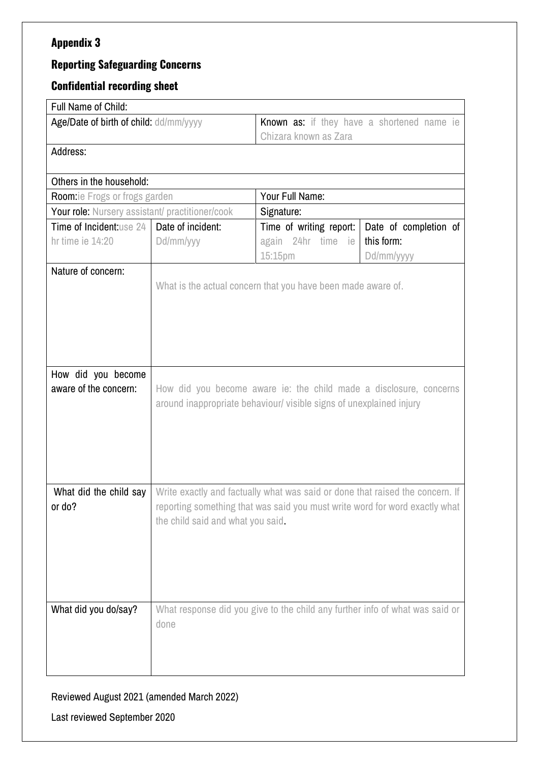# **Appendix 3**

# **Reporting Safeguarding Concerns**

# **Confidential recording sheet**

| Full Name of Child:                             |                                                                               |                                                   |                       |  |  |
|-------------------------------------------------|-------------------------------------------------------------------------------|---------------------------------------------------|-----------------------|--|--|
| Age/Date of birth of child: dd/mm/yyyy          |                                                                               | <b>Known as:</b> if they have a shortened name ie |                       |  |  |
|                                                 |                                                                               | Chizara known as Zara                             |                       |  |  |
| Address:                                        |                                                                               |                                                   |                       |  |  |
|                                                 |                                                                               |                                                   |                       |  |  |
| Others in the household:                        |                                                                               |                                                   |                       |  |  |
| <b>Room:</b> ie Frogs or frogs garden           |                                                                               | Your Full Name:                                   |                       |  |  |
| Your role: Nursery assistant/ practitioner/cook |                                                                               | Signature:                                        |                       |  |  |
| Time of Incident:use 24                         | Date of incident:                                                             | Time of writing report:                           | Date of completion of |  |  |
| hr time ie 14:20                                | Dd/mm/yyy                                                                     | again 24hr time ie                                | this form:            |  |  |
|                                                 |                                                                               | 15:15pm                                           | Dd/mm/yyyy            |  |  |
| Nature of concern:                              |                                                                               |                                                   |                       |  |  |
|                                                 | What is the actual concern that you have been made aware of.                  |                                                   |                       |  |  |
|                                                 |                                                                               |                                                   |                       |  |  |
|                                                 |                                                                               |                                                   |                       |  |  |
|                                                 |                                                                               |                                                   |                       |  |  |
|                                                 |                                                                               |                                                   |                       |  |  |
|                                                 |                                                                               |                                                   |                       |  |  |
| How did you become                              |                                                                               |                                                   |                       |  |  |
| aware of the concern:                           | How did you become aware ie: the child made a disclosure, concerns            |                                                   |                       |  |  |
|                                                 | around inappropriate behaviour/ visible signs of unexplained injury           |                                                   |                       |  |  |
|                                                 |                                                                               |                                                   |                       |  |  |
|                                                 |                                                                               |                                                   |                       |  |  |
|                                                 |                                                                               |                                                   |                       |  |  |
|                                                 |                                                                               |                                                   |                       |  |  |
| What did the child say                          | Write exactly and factually what was said or done that raised the concern. If |                                                   |                       |  |  |
| or do?                                          | reporting something that was said you must write word for word exactly what   |                                                   |                       |  |  |
|                                                 | the child said and what you said.                                             |                                                   |                       |  |  |
|                                                 |                                                                               |                                                   |                       |  |  |
|                                                 |                                                                               |                                                   |                       |  |  |
|                                                 |                                                                               |                                                   |                       |  |  |
|                                                 |                                                                               |                                                   |                       |  |  |
|                                                 |                                                                               |                                                   |                       |  |  |
| What did you do/say?                            | What response did you give to the child any further info of what was said or  |                                                   |                       |  |  |
|                                                 | done                                                                          |                                                   |                       |  |  |
|                                                 |                                                                               |                                                   |                       |  |  |
|                                                 |                                                                               |                                                   |                       |  |  |
|                                                 |                                                                               |                                                   |                       |  |  |

# Reviewed August 2021 (amended March 2022)